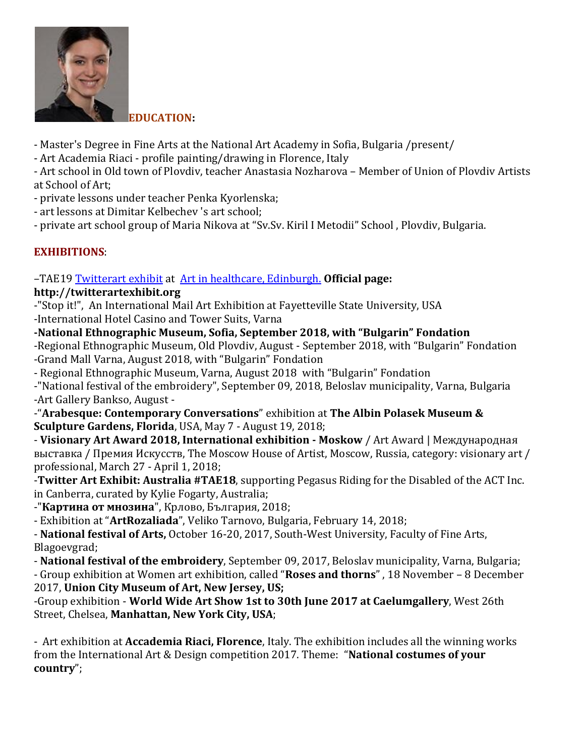

**[E](https://www.radosvetazhelyazkova.com/wp-content/uploads/2017/05/artpic2.jpg)DUCATION:**

- Master's Degree in Fine Arts at the National Art Academy in Sofia, Bulgaria /present/
- Art Academia Riaci profile painting/drawing in Florence, Italy

- Art school in Old town of Plovdiv, teacher Anastasia Nozharova – Member of Union of Plovdiv Artists at School of Art;

- private lessons under teacher Penka Kyorlenska;
- art lessons at Dimitar Kelbechev 's art school;

- private art school group of Maria Nikova at "Sv.Sv. Kiril I Metodii" School , Plovdiv, Bulgaria.

# **EXHIBITIONS**:

## –ТАЕ19 [Twitterart](Twitterart%20exhibit) exhibit at Art in [healthcare, Edinburgh.](Art%20in%20healthcare,%20Edinburgh.) **Official page:**

### **http://twitterartexhibit.org**

-"Stop it!", An International Mail Art Exhibition at Fayetteville State University, USA -International Hotel Casino and Tower Suits, Varna

**-National Ethnographic Museum, Sofia, September 2018, with "Bulgarin" Fondation**

-Regional Ethnographic Museum, Old Plovdiv, August - September 2018, with "Bulgarin" Fondation -Grand Mall Varna, August 2018, with "Bulgarin" Fondation

- Regional Ethnographic Museum, Varna, August 2018 with "Bulgarin" Fondation
- -"National festival of the embroidery", September 09, 2018, Beloslav municipality, Varna, Bulgaria -Art Gallery Bankso, August -

-"**Arabesque: Contemporary Conversations**" exhibition at **The Albin Polasek Museum & Sculpture Gardens, Florida**, USA, May 7 - August 19, 2018;

- **Visionary Art Award 2018, International exhibition - Moskow** / Art Award | Международная выставка / Премия Искусств, The Moscow House of Artist, Moscow, Russia, category: visionary art / professional, March 27 - April 1, 2018;

-**Twitter Art Exhibit: Australia #TAE18**, supporting Pegasus Riding for the Disabled of the ACT Inc. in Canberra, curated by Kylie Fogarty, Australia;

-"**Картина от мнозина**", Крлово, България, 2018;

- Exhibition at "**ArtRozaliada**", Veliko Tarnovo, Bulgaria, February 14, 2018;

- **National festival of Arts,** October 16-20, 2017, South-West University, Faculty of Fine Arts, Blagoevgrad;

- **National festival of the embroidery**, September 09, 2017, Beloslav municipality, Varna, Bulgaria;

- Group exhibition at Women art exhibition, called "**Roses and thorns**" , 18 November – 8 December 2017, **Union City Museum of Art, New Jersey, US;**

-Group exhibition - **World Wide Art Show 1st to 30th June 2017 at Caelumgallery**, West 26th Street, Chelsea, **Manhattan, New York City, USA**;

- Art exhibition at **Accademia Riaci, Florence**, Italy. The exhibition includes all the winning works from the International Art & Design competition 2017. Theme: "**National costumes of your country**";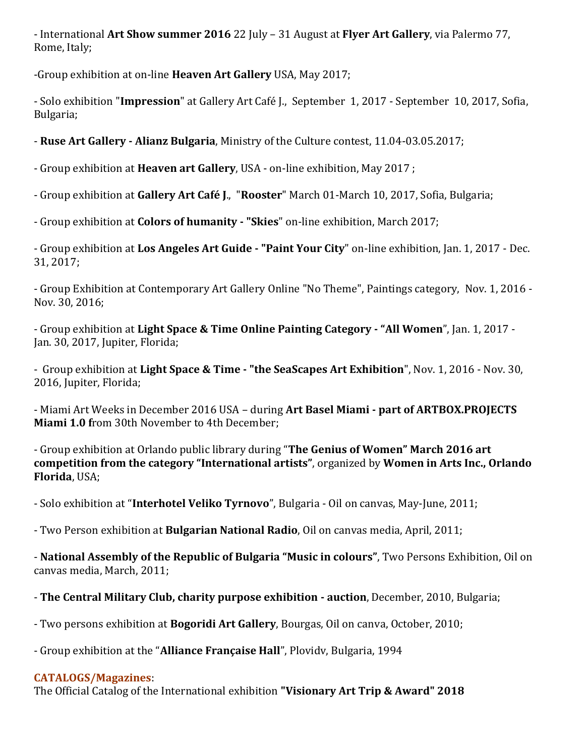- International **Art Show summer 2016** 22 July – 31 August at **Flyer Art Gallery**, via Palermo 77, Rome, Italy;

-Group exhibition at on-line **Heaven Art Gallery** USA, May 2017;

- Solo exhibition "**Impression**" at Gallery Art Café J., September 1, 2017 - September 10, 2017, Sofia, Bulgaria;

- **Ruse Art Gallery - Alianz Bulgaria**, Ministry of the Culture contest, 11.04-03.05.2017;

- Group exhibition at **Heaven art Gallery**, USA - on-line exhibition, May 2017 ;

- Group exhibition at **Gallery Art Café J**., "**Rooster**" March 01-March 10, 2017, Sofia, Bulgaria;

- Group exhibition at **Colors of humanity - "Skies**" on-line exhibition, March 2017;

- Group exhibition at **Los Angeles Art Guide - "Paint Your City**" on-line exhibition, Jan. 1, 2017 - Dec. 31, 2017;

- Group Exhibition at Contemporary Art Gallery Online "No Theme", Paintings category, Nov. 1, 2016 - Nov. 30, 2016;

- Group exhibition at **Light Space & Time Online Painting Category - "All Women**", Jan. 1, 2017 - Jan. 30, 2017, Jupiter, Florida;

- Group exhibition at **Light Space & Time - "the SeaScapes Art Exhibition**", Nov. 1, 2016 - Nov. 30, 2016, Jupiter, Florida;

- Miami Art Weeks in December 2016 USA – during **Art Basel Miami - part of ARTBOX.PROJECTS Miami 1.0 f**rom 30th November to 4th December;

- Group exhibition at Orlando public library during "**The Genius of Women" March 2016 art competition from the category "International artists"**, organized by **Women in Arts Inc., Orlando Florida**, USA;

- Solo exhibition at "**Interhotel Veliko Tyrnovo**", Bulgaria - Oil on canvas, May-June, 2011;

- Two Person exhibition at **Bulgarian National Radio**, Oil on canvas media, April, 2011;

- **National Assembly of the Republic of Bulgaria "Music in colours"**, Two Persons Exhibition, Oil on canvas media, March, 2011;

- **The Central Military Club, charity purpose exhibition - auction**, December, 2010, Bulgaria;

- Two persons exhibition at **Bogoridi Art Gallery**, Bourgas, Oil on canva, October, 2010;

- Group exhibition at the "**Alliance Française Hall**", Plovidv, Bulgaria, 1994

#### **CATALOGS/Magazines**:

The Official Catalog of the International exhibition **"Visionary Art Trip & Award" 2018**